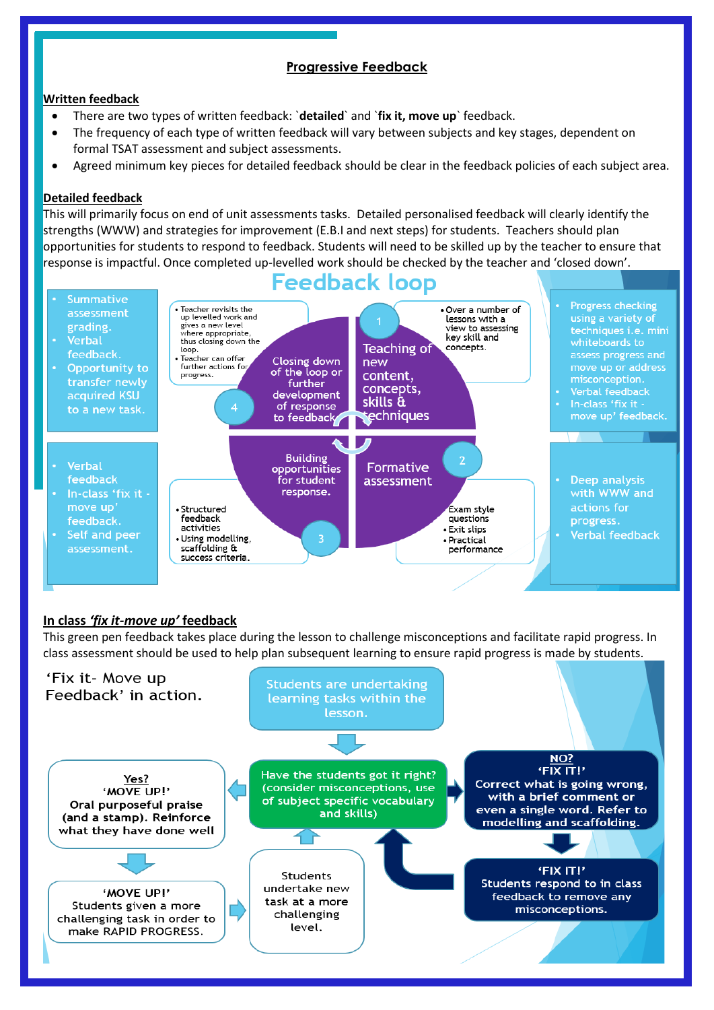# **Progressive Feedback**

## **Written feedback**

- There are two types of written feedback: `**detailed**` and `**fix it, move up**` feedback.
- The frequency of each type of written feedback will vary between subjects and key stages, dependent on formal TSAT assessment and subject assessments.
- Agreed minimum key pieces for detailed feedback should be clear in the feedback policies of each subject area.

#### **Detailed feedback**

This will primarily focus on end of unit assessments tasks. Detailed personalised feedback will clearly identify the strengths (WWW) and strategies for improvement (E.B.I and next steps) for students. Teachers should plan opportunities for students to respond to feedback. Students will need to be skilled up by the teacher to ensure that response is impactful. Once completed up-levelled work should be checked by the teacher and 'closed down'.



## **In class** *'fix it-move up'* **feedback**

This green pen feedback takes place during the lesson to challenge misconceptions and facilitate rapid progress. In class assessment should be used to help plan subsequent learning to ensure rapid progress is made by students.